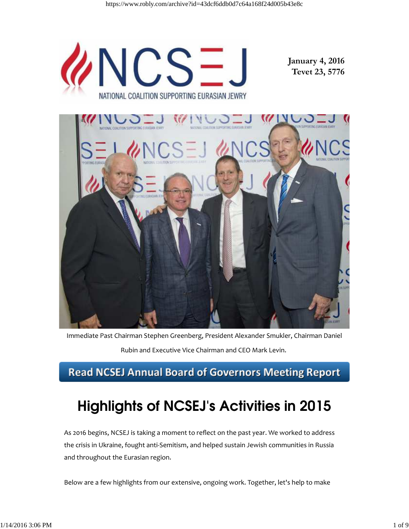

Immediate Past Chairman Stephen Greenberg, President Alexander Smukler, Chairman Daniel

Rubin and Executive Vice Chairman and CEO Mark Levin.

## **Read NCSEJ Annual Board of Governors Meeting Report**

# Highlights of NCSEJ's Activities in 2015

As 2016 begins, NCSEJ is taking a moment to reflect on the past year. We worked to address the crisis in Ukraine, fought anti‐Semitism, and helped sustain Jewish communities in Russia and throughout the Eurasian region.

Below are a few highlights from our extensive, ongoing work. Together, let's help to make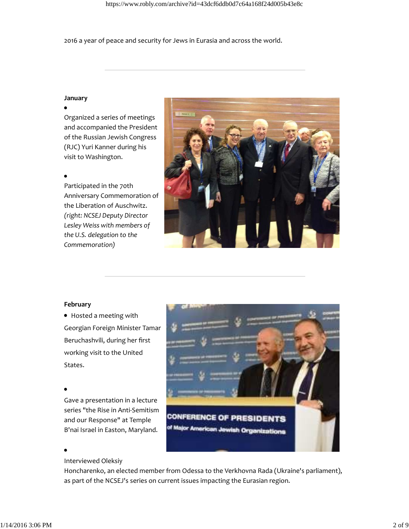2016 a year of peace and security for Jews in Eurasia and across the world.

### **January**

Organized a series of meetings and accompanied the President of the Russian Jewish Congress (RJC) Yuri Kanner during his visit to Washington.

### $\bullet$

Participated in the 70th Anniversary Commemoration of the Liberation of Auschwitz. *(right: NCSEJ Deputy Director Lesley Weiss with members of the U.S. delegation to the Commemoration)*



### **February**

Hosted a meeting with Georgian Foreign Minister Tamar Beruchashvili, during her first working visit to the United States.

Gave a presentation in a lecture series "the Rise in Anti‐Semitism and our Response" at Temple B'nai Israel in Easton, Maryland.

Interviewed Oleksiy



Honcharenko, an elected member from Odessa to the Verkhovna Rada (Ukraine's parliament), as part of the NCSEJ's series on current issues impacting the Eurasian region.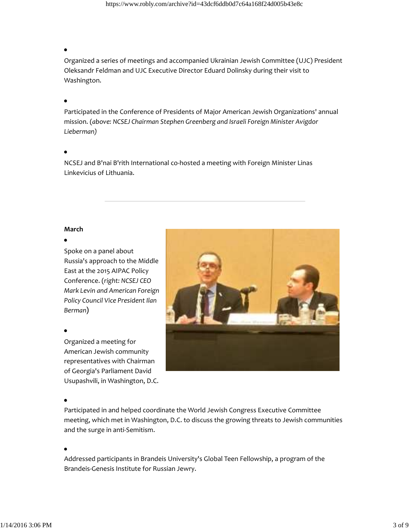https://www.robly.com/archive?id=43dcf6ddb0d7c64a168f24d005b43e8c

Organized a series of meetings and accompanied Ukrainian Jewish Committee (UJC) President Oleksandr Feldman and UJC Executive Director Eduard Dolinsky during their visit to Washington.

Participated in the Conference of Presidents of Major American Jewish Organizations' annual mission. (*above: NCSEJ Chairman Stephen Greenberg and Israeli Foreign Minister Avigdor Lieberman)*

NCSEJ and B'nai B'rith International co‐hosted a meeting with Foreign Minister Linas Linkevicius of Lithuania.

### **March**

Spoke on a panel about Russia's approach to the Middle East at the 2015 AIPAC Policy Conference. (*right: NCSEJ CEO Mark Levin and American Foreign Policy Council Vice President Ilan Berman*)

Organized a meeting for American Jewish community representatives with Chairman of Georgia's Parliament David Usupashvili, in Washington, D.C.

### $\bullet$

Participated in and helped coordinate the World Jewish Congress Executive Committee meeting, which met in Washington, D.C. to discuss the growing threats to Jewish communities and the surge in anti‐Semitism.

Addressed participants in Brandeis University's Global Teen Fellowship, a program of the Brandeis‐Genesis Institute for Russian Jewry.

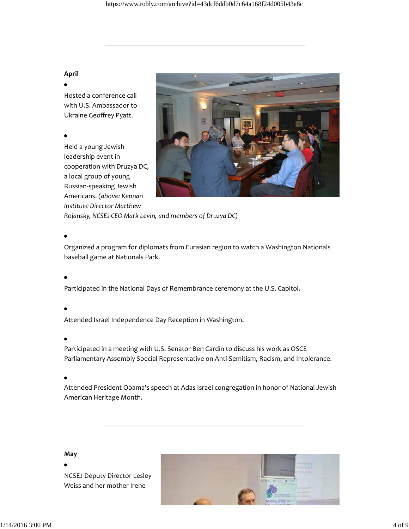### **April**

Hosted a conference call with U.S. Ambassador to Ukraine Geoffrey Pyatt.

Held a young Jewish leadership event in cooperation with Druzya DC, a local group of young Russian‐speaking Jewish Americans. (*above: Kennan Institute Director Matthew*



*Rojansky, NCSEJ CEO Mark Levin, and members of Druzya DC)*

Organized a program for diplomats from Eurasian region to watch a Washington Nationals baseball game at Nationals Park.

Participated in the National Days of Remembrance ceremony at the U.S. Capitol.

Attended Israel Independence Day Reception in Washington.

Participated in a meeting with U.S. Senator Ben Cardin to discuss his work as OSCE Parliamentary Assembly Special Representative on Anti‐Semitism, Racism, and Intolerance.

Attended President Obama's speech at Adas Israel congregation in honor of National Jewish American Heritage Month.

### **May**

NCSEJ Deputy Director Lesley Weiss and her mother Irene

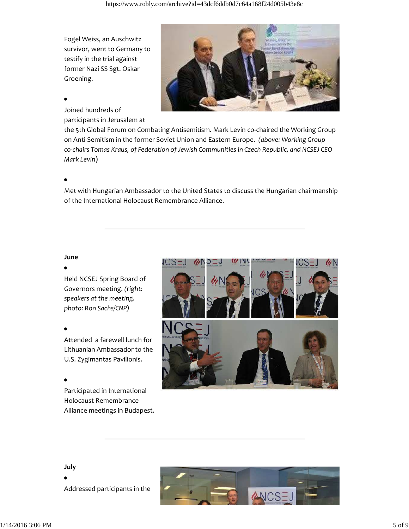Fogel Weiss, an Auschwitz survivor, went to Germany to testify in the trial against former Nazi SS Sgt. Oskar Groening.



### Joined hundreds of participants in Jerusalem at

the 5th Global Forum on Combating Antisemitism. Mark Levin co-chaired the Working Group on Anti‐Semitism in the former Soviet Union and Eastern Europe. *(above: Working Group co‐chairs Tomas Kraus, of Federation of Jewish Communities in Czech Republic, and NCSEJ CEO Mark Levin*)

Met with Hungarian Ambassador to the United States to discuss the Hungarian chairmanship of the International Holocaust Remembrance Alliance.

### **June**

### $\bullet$

Held NCSEJ Spring Board of Governors meeting. *(right: speakers at the meeting. photo: Ron Sachs/CNP)*

Attended a farewell lunch for Lithuanian Ambassador to the U.S. Zygimantas Pavilionis.

Participated in International Holocaust Remembrance Alliance meetings in Budapest.



### **July**

Addressed participants in the



### $1/14/20163:06 \text{ PM}$  5 of 9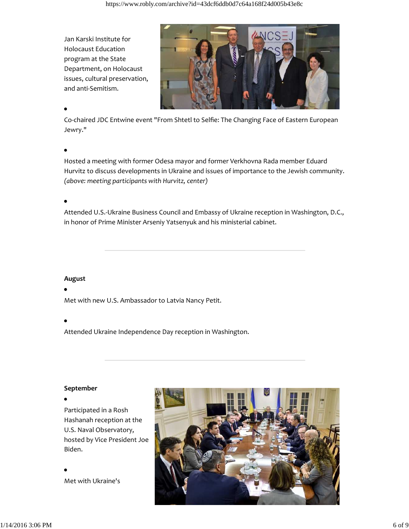Jan Karski Institute for Holocaust Education program at the State Department, on Holocaust issues, cultural preservation, and anti‐Semitism.



Co‐chaired JDC Entwine event "From Shtetl to Selfie: The Changing Face of Eastern European Jewry."

Hosted a meeting with former Odesa mayor and former Verkhovna Rada member Eduard Hurvitz to discuss developments in Ukraine and issues of importance to the Jewish community. *(above: meeting participants with Hurvitz, center)*

Attended U.S.‐Ukraine Business Council and Embassy of Ukraine reception in Washington, D.C., in honor of Prime Minister Arseniy Yatsenyuk and his ministerial cabinet.

**August**

Met with new U.S. Ambassador to Latvia Nancy Petit.

Attended Ukraine Independence Day reception in Washington.

### **September**

Participated in a Rosh Hashanah reception at the U.S. Naval Observatory, hosted by Vice President Joe Biden.

Met with Ukraine's

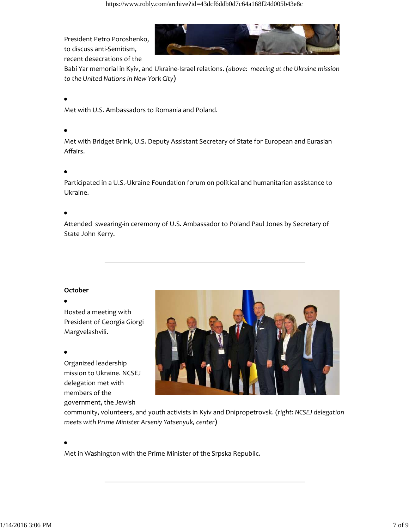https://www.robly.com/archive?id=43dcf6ddb0d7c64a168f24d005b43e8c

President Petro Poroshenko, to discuss anti‐Semitism, recent desecrations of the



Babi Yar memorial in Kyiv, and Ukraine‐Israel relations. *(above: meeting at the Ukraine mission to the United Nations in New York City*)

Met with U.S. Ambassadors to Romania and Poland.

Met with Bridget Brink, U.S. Deputy Assistant Secretary of State for European and Eurasian Affairs.

Participated in a U.S.‐Ukraine Foundation forum on political and humanitarian assistance to Ukraine.

Attended swearing‐in ceremony of U.S. Ambassador to Poland Paul Jones by Secretary of State John Kerry.

### **October**

### $\bullet$

Hosted a meeting with President of Georgia Giorgi Margvelashvili.

### $\bullet$

Organized leadership mission to Ukraine. NCSEJ delegation met with members of the government, the Jewish



community, volunteers, and youth activists in Kyiv and Dnipropetrovsk. (*right: NCSEJ delegation meets with Prime Minister Arseniy Yatsenyuk, center*)

Met in Washington with the Prime Minister of the Srpska Republic.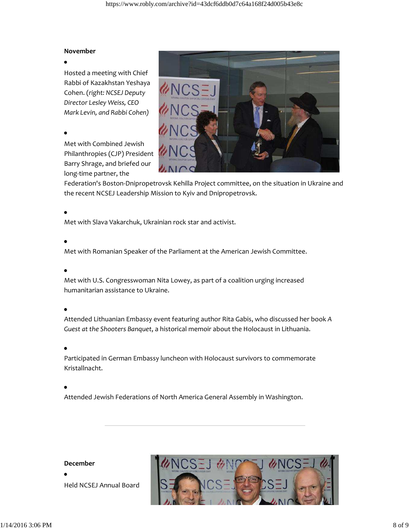### **November**

 $\bullet$ 

Hosted a meeting with Chief Rabbi of Kazakhstan Yeshaya Cohen. (*right: NCSEJ Deputy Director Lesley Weiss, CEO Mark Levin, and Rabbi Cohen)*

### $\bullet$

Met with Combined Jewish Philanthropies (CJP) President Barry Shrage, and briefed our long‐time partner, the



Federation's Boston‐Dnipropetrovsk Kehilla Project committee, on the situation in Ukraine and the recent NCSEJ Leadership Mission to Kyiv and Dnipropetrovsk.

Met with Slava Vakarchuk, Ukrainian rock star and activist.

Met with Romanian Speaker of the Parliament at the American Jewish Committee.

Met with U.S. Congresswoman Nita Lowey, as part of a coalition urging increased humanitarian assistance to Ukraine.

Attended Lithuanian Embassy event featuring author Rita Gabis, who discussed her book *A Guest at the Shooters Banquet*, a historical memoir about the Holocaust in Lithuania.

Participated in German Embassy luncheon with Holocaust survivors to commemorate Kristallnacht.

Attended Jewish Federations of North America General Assembly in Washington.

### **December**

Held NCSEJ Annual Board